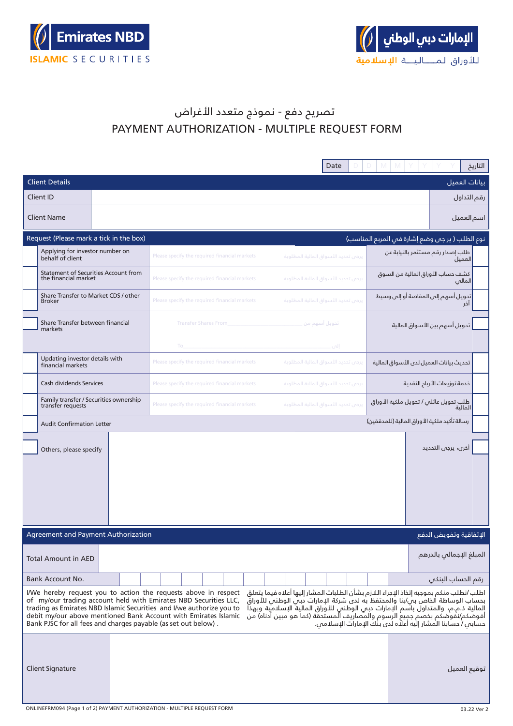



## تصريح دفع - نموذج متعدد األغراض PAYMENT AUTHORIZATION - MULTIPLE REQUEST FORM

|                                                                                                                                                                                                                                                                                                                                                                                                                                                                                                                                                                                                                                                                                                                                                              |                                               | Date                                | التاريخ                                          |  |
|--------------------------------------------------------------------------------------------------------------------------------------------------------------------------------------------------------------------------------------------------------------------------------------------------------------------------------------------------------------------------------------------------------------------------------------------------------------------------------------------------------------------------------------------------------------------------------------------------------------------------------------------------------------------------------------------------------------------------------------------------------------|-----------------------------------------------|-------------------------------------|--------------------------------------------------|--|
| <b>Client Details</b>                                                                                                                                                                                                                                                                                                                                                                                                                                                                                                                                                                                                                                                                                                                                        |                                               |                                     | بيانات العميل                                    |  |
| Client ID                                                                                                                                                                                                                                                                                                                                                                                                                                                                                                                                                                                                                                                                                                                                                    |                                               |                                     | رقم التداول                                      |  |
| <b>Client Name</b>                                                                                                                                                                                                                                                                                                                                                                                                                                                                                                                                                                                                                                                                                                                                           |                                               |                                     | اسم العميل                                       |  |
| Request (Please mark a tick in the box)                                                                                                                                                                                                                                                                                                                                                                                                                                                                                                                                                                                                                                                                                                                      |                                               |                                     | نوع الطلب (ير جس وضع إشارة فم المربع المناسب)    |  |
| Applying for investor number on<br>behalf of client                                                                                                                                                                                                                                                                                                                                                                                                                                                                                                                                                                                                                                                                                                          | Please specify the required financial markets | يرجى تحديد الأسواق المالية المطلوبة | طلب إصدار رقم مستثمر بالنيابة عن<br>العميل       |  |
| Statement of Securities Account from<br>the financial market                                                                                                                                                                                                                                                                                                                                                                                                                                                                                                                                                                                                                                                                                                 | Please specify the required financial markets | يرجى تحديد الأسواق المالية المطلوبة | كشف حساب الأوراق المالية من السوق<br>المالى      |  |
| Share Transfer to Market CDS / other<br><b>Broker</b>                                                                                                                                                                                                                                                                                                                                                                                                                                                                                                                                                                                                                                                                                                        | Please specify the required financial markets | يرجى تحديد الأسواق المالية المطلوبة | تحويل أسهم إلى المقاصة أو إلى وسيط<br>تم         |  |
| Share Transfer between financial<br>markets                                                                                                                                                                                                                                                                                                                                                                                                                                                                                                                                                                                                                                                                                                                  | <b>Transfer Shares From</b>                   | تحويل أسهم من _                     | تحويل أسهم بين الأسواق المالية                   |  |
|                                                                                                                                                                                                                                                                                                                                                                                                                                                                                                                                                                                                                                                                                                                                                              | To                                            | إلىن                                |                                                  |  |
| Updating investor details with<br>financial markets                                                                                                                                                                                                                                                                                                                                                                                                                                                                                                                                                                                                                                                                                                          | Please specify the required financial markets | يرجى تحديد الأسواق المالية المطلوبة | تحديث بيانات العميل لدى الأسواق المالية          |  |
| Cash dividends Services                                                                                                                                                                                                                                                                                                                                                                                                                                                                                                                                                                                                                                                                                                                                      | Please specify the required financial markets | يرجى تحديد الأسواق المالية المطلوبة | خدمة توزيعات الأربام النقدية                     |  |
| Family transfer / Securities ownership<br>transfer requests                                                                                                                                                                                                                                                                                                                                                                                                                                                                                                                                                                                                                                                                                                  | Please specify the required financial markets | يرجن تحديد الأسواق المالية المطلوبة | طلب تحويل عائلي / تحويل ملكية الأوراق<br>المالنة |  |
| <b>Audit Confirmation Letter</b>                                                                                                                                                                                                                                                                                                                                                                                                                                                                                                                                                                                                                                                                                                                             |                                               |                                     | رسالة تأكيد ملكية الأوراق المالية (للمدققين)     |  |
| Others, please specify                                                                                                                                                                                                                                                                                                                                                                                                                                                                                                                                                                                                                                                                                                                                       |                                               |                                     | أخرى، يرجى التحديد                               |  |
| Agreement and Payment Authorization                                                                                                                                                                                                                                                                                                                                                                                                                                                                                                                                                                                                                                                                                                                          |                                               |                                     | الإتفاقية وتفويض الدفع                           |  |
| <b>Total Amount in AED</b>                                                                                                                                                                                                                                                                                                                                                                                                                                                                                                                                                                                                                                                                                                                                   |                                               |                                     | المبلغ الإجمالي بالدرهم                          |  |
| Bank Account No.                                                                                                                                                                                                                                                                                                                                                                                                                                                                                                                                                                                                                                                                                                                                             |                                               |                                     | رقم الحساب البنكى                                |  |
| اطلب /نطلب منكم بموجبه إتخاذ الإجراء اللازم بشأن الطلبات المشار إليها أعلاه فيما يتعلق<br>I/We hereby request you to action the requests above in respect<br>بحساب الوساطة الخاص بى/بنا والمحتفظ به لدى شركة الإمارات دبى الوطنس للأوراق<br>of my/our trading account held with Emirates NBD Securities LLC,<br>إلمالية ذ.م.م، والمتداول باسم الإمارات دبى الوطني للأوراق المالية الإسلامية وبهذا<br>trading as Emirates NBD Islamic Securities and I/we authorize you to<br>أفوضكم/نفوضكم بخصّم جميع الرسوم والمصاريف المستَحقّة (كما هو مبين أدناه) من<br>حسابي / حسابنا المشار إليه أعلاه لدى بنك الإمارات الإسلامي.<br>debit my/our above mentioned Bank Account with Emirates Islamic<br>Bank PJSC for all fees and charges payable (as set out below). |                                               |                                     |                                                  |  |
| <b>Client Signature</b><br>ONLINEFRM094 (Page 1 of 2) PAYMENT AUTHORIZATION - MULTIPLE REQUEST FORM                                                                                                                                                                                                                                                                                                                                                                                                                                                                                                                                                                                                                                                          |                                               |                                     | توقيع العميل<br>03.22 Ver 2                      |  |